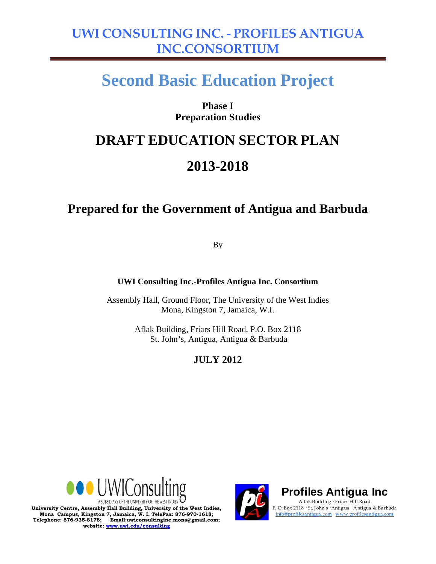# **Second Basic Education Project**

### **Phase I Preparation Studies**

### **DRAFT EDUCATION SECTOR PLAN**

### **2013-2018**

### **Prepared for the Government of Antigua and Barbuda**

By

**UWI Consulting Inc.-Profiles Antigua Inc. Consortium** 

Assembly Hall, Ground Floor, The University of the West Indies Mona, Kingston 7, Jamaica, W.I.

> Aflak Building, Friars Hill Road, P.O. Box 2118 St. John's, Antigua, Antigua & Barbuda

### **JULY 2012**





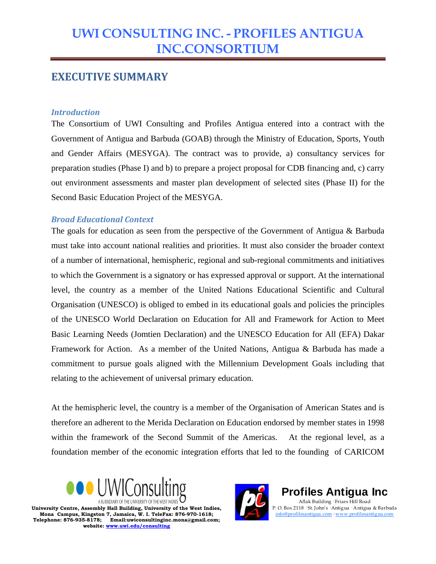### **EXECUTIVE SUMMARY**

#### *Introduction*

The Consortium of UWI Consulting and Profiles Antigua entered into a contract with the Government of Antigua and Barbuda (GOAB) through the Ministry of Education, Sports, Youth and Gender Affairs (MESYGA). The contract was to provide, a) consultancy services for preparation studies (Phase I) and b) to prepare a project proposal for CDB financing and, c) carry out environment assessments and master plan development of selected sites (Phase II) for the Second Basic Education Project of the MESYGA.

#### *Broad Educational Context*

The goals for education as seen from the perspective of the Government of Antigua & Barbuda must take into account national realities and priorities. It must also consider the broader context of a number of international, hemispheric, regional and sub-regional commitments and initiatives to which the Government is a signatory or has expressed approval or support. At the international level, the country as a member of the United Nations Educational Scientific and Cultural Organisation (UNESCO) is obliged to embed in its educational goals and policies the principles of the UNESCO World Declaration on Education for All and Framework for Action to Meet Basic Learning Needs (Jomtien Declaration) and the UNESCO Education for All (EFA) Dakar Framework for Action. As a member of the United Nations, Antigua & Barbuda has made a commitment to pursue goals aligned with the Millennium Development Goals including that relating to the achievement of universal primary education.

At the hemispheric level, the country is a member of the Organisation of American States and is therefore an adherent to the Merida Declaration on Education endorsed by member states in 1998 within the framework of the Second Summit of the Americas. At the regional level, as a foundation member of the economic integration efforts that led to the founding of CARICOM





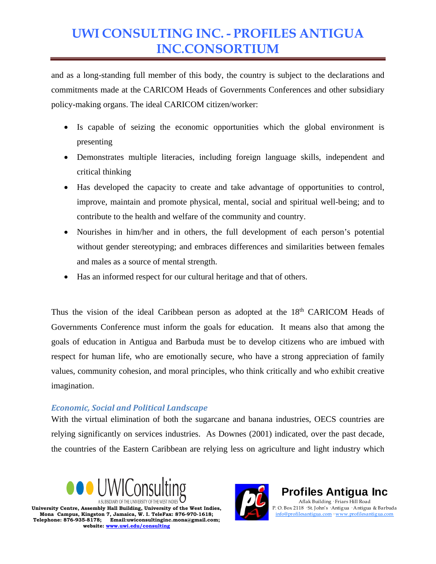and as a long-standing full member of this body, the country is subject to the declarations and commitments made at the CARICOM Heads of Governments Conferences and other subsidiary policy-making organs. The ideal CARICOM citizen/worker:

- Is capable of seizing the economic opportunities which the global environment is presenting
- Demonstrates multiple literacies, including foreign language skills, independent and critical thinking
- Has developed the capacity to create and take advantage of opportunities to control, improve, maintain and promote physical, mental, social and spiritual well-being; and to contribute to the health and welfare of the community and country.
- Nourishes in him/her and in others, the full development of each person's potential without gender stereotyping; and embraces differences and similarities between females and males as a source of mental strength.
- Has an informed respect for our cultural heritage and that of others.

Thus the vision of the ideal Caribbean person as adopted at the 18<sup>th</sup> CARICOM Heads of Governments Conference must inform the goals for education. It means also that among the goals of education in Antigua and Barbuda must be to develop citizens who are imbued with respect for human life, who are emotionally secure, who have a strong appreciation of family values, community cohesion, and moral principles, who think critically and who exhibit creative imagination.

#### *Economic, Social and Political Landscape*

With the virtual elimination of both the sugarcane and banana industries, OECS countries are relying significantly on services industries. As Downes (2001) indicated, over the past decade, the countries of the Eastern Caribbean are relying less on agriculture and light industry which





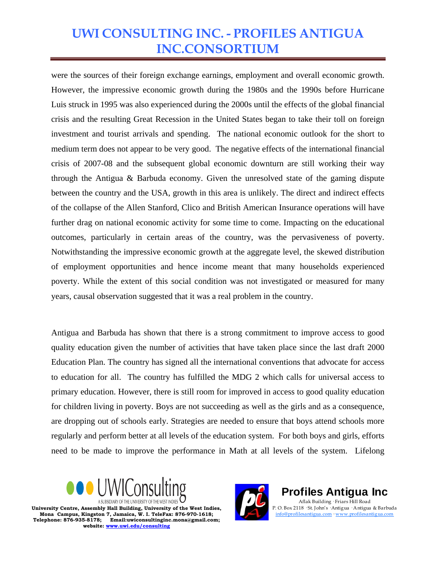were the sources of their foreign exchange earnings, employment and overall economic growth. However, the impressive economic growth during the 1980s and the 1990s before Hurricane Luis struck in 1995 was also experienced during the 2000s until the effects of the global financial crisis and the resulting Great Recession in the United States began to take their toll on foreign investment and tourist arrivals and spending. The national economic outlook for the short to medium term does not appear to be very good. The negative effects of the international financial crisis of 2007-08 and the subsequent global economic downturn are still working their way through the Antigua & Barbuda economy. Given the unresolved state of the gaming dispute between the country and the USA, growth in this area is unlikely. The direct and indirect effects of the collapse of the Allen Stanford, Clico and British American Insurance operations will have further drag on national economic activity for some time to come. Impacting on the educational outcomes, particularly in certain areas of the country, was the pervasiveness of poverty. Notwithstanding the impressive economic growth at the aggregate level, the skewed distribution of employment opportunities and hence income meant that many households experienced poverty. While the extent of this social condition was not investigated or measured for many years, causal observation suggested that it was a real problem in the country.

Antigua and Barbuda has shown that there is a strong commitment to improve access to good quality education given the number of activities that have taken place since the last draft 2000 Education Plan. The country has signed all the international conventions that advocate for access to education for all. The country has fulfilled the MDG 2 which calls for universal access to primary education. However, there is still room for improved in access to good quality education for children living in poverty. Boys are not succeeding as well as the girls and as a consequence, are dropping out of schools early. Strategies are needed to ensure that boys attend schools more regularly and perform better at all levels of the education system. For both boys and girls, efforts need to be made to improve the performance in Math at all levels of the system. Lifelong





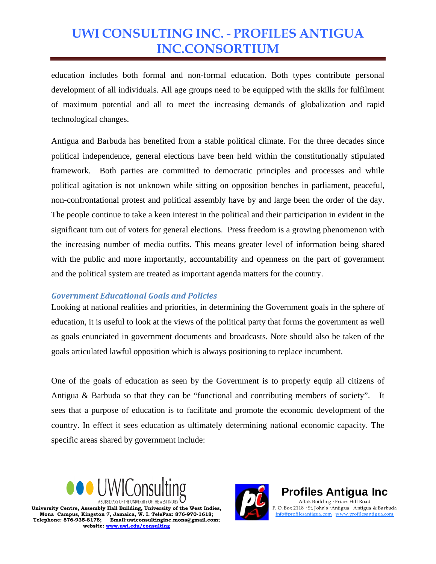education includes both formal and non-formal education. Both types contribute personal development of all individuals. All age groups need to be equipped with the skills for fulfilment of maximum potential and all to meet the increasing demands of globalization and rapid technological changes.

Antigua and Barbuda has benefited from a stable political climate. For the three decades since political independence, general elections have been held within the constitutionally stipulated framework. Both parties are committed to democratic principles and processes and while political agitation is not unknown while sitting on opposition benches in parliament, peaceful, non-confrontational protest and political assembly have by and large been the order of the day. The people continue to take a keen interest in the political and their participation in evident in the significant turn out of voters for general elections. Press freedom is a growing phenomenon with the increasing number of media outfits. This means greater level of information being shared with the public and more importantly, accountability and openness on the part of government and the political system are treated as important agenda matters for the country.

#### *Government Educational Goals and Policies*

Looking at national realities and priorities, in determining the Government goals in the sphere of education, it is useful to look at the views of the political party that forms the government as well as goals enunciated in government documents and broadcasts. Note should also be taken of the goals articulated lawful opposition which is always positioning to replace incumbent.

One of the goals of education as seen by the Government is to properly equip all citizens of Antigua & Barbuda so that they can be "functional and contributing members of society". It sees that a purpose of education is to facilitate and promote the economic development of the country. In effect it sees education as ultimately determining national economic capacity. The specific areas shared by government include:





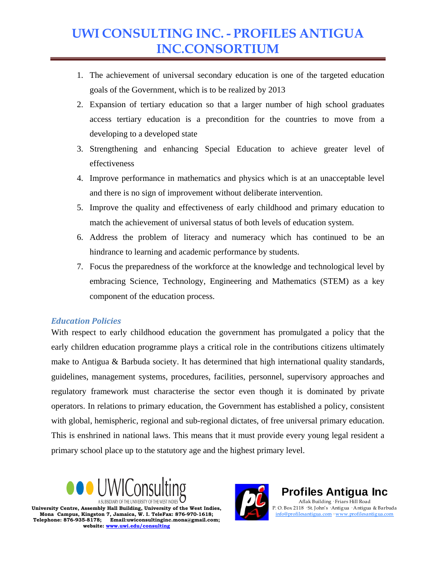- 1. The achievement of universal secondary education is one of the targeted education goals of the Government, which is to be realized by 2013
- 2. Expansion of tertiary education so that a larger number of high school graduates access tertiary education is a precondition for the countries to move from a developing to a developed state
- 3. Strengthening and enhancing Special Education to achieve greater level of effectiveness
- 4. Improve performance in mathematics and physics which is at an unacceptable level and there is no sign of improvement without deliberate intervention.
- 5. Improve the quality and effectiveness of early childhood and primary education to match the achievement of universal status of both levels of education system.
- 6. Address the problem of literacy and numeracy which has continued to be an hindrance to learning and academic performance by students.
- 7. Focus the preparedness of the workforce at the knowledge and technological level by embracing Science, Technology, Engineering and Mathematics (STEM) as a key component of the education process.

#### *Education Policies*

With respect to early childhood education the government has promulgated a policy that the early children education programme plays a critical role in the contributions citizens ultimately make to Antigua & Barbuda society. It has determined that high international quality standards, guidelines, management systems, procedures, facilities, personnel, supervisory approaches and regulatory framework must characterise the sector even though it is dominated by private operators. In relations to primary education, the Government has established a policy, consistent with global, hemispheric, regional and sub-regional dictates, of free universal primary education. This is enshrined in national laws. This means that it must provide every young legal resident a primary school place up to the statutory age and the highest primary level.





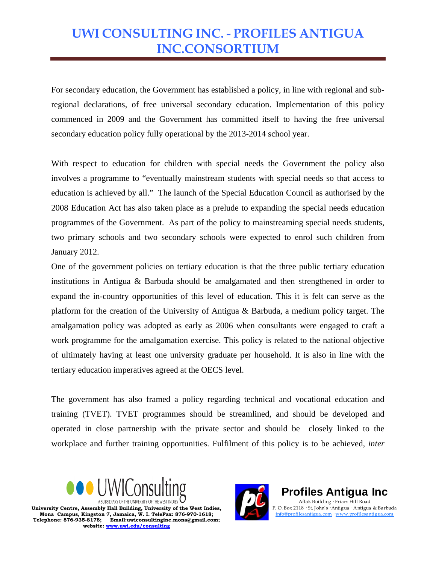For secondary education, the Government has established a policy, in line with regional and subregional declarations, of free universal secondary education. Implementation of this policy commenced in 2009 and the Government has committed itself to having the free universal secondary education policy fully operational by the 2013-2014 school year.

With respect to education for children with special needs the Government the policy also involves a programme to "eventually mainstream students with special needs so that access to education is achieved by all." The launch of the Special Education Council as authorised by the 2008 Education Act has also taken place as a prelude to expanding the special needs education programmes of the Government. As part of the policy to mainstreaming special needs students, two primary schools and two secondary schools were expected to enrol such children from January 2012.

One of the government policies on tertiary education is that the three public tertiary education institutions in Antigua & Barbuda should be amalgamated and then strengthened in order to expand the in-country opportunities of this level of education. This it is felt can serve as the platform for the creation of the University of Antigua & Barbuda, a medium policy target. The amalgamation policy was adopted as early as 2006 when consultants were engaged to craft a work programme for the amalgamation exercise. This policy is related to the national objective of ultimately having at least one university graduate per household. It is also in line with the tertiary education imperatives agreed at the OECS level.

The government has also framed a policy regarding technical and vocational education and training (TVET). TVET programmes should be streamlined, and should be developed and operated in close partnership with the private sector and should be closely linked to the workplace and further training opportunities. Fulfilment of this policy is to be achieved, *inter* 





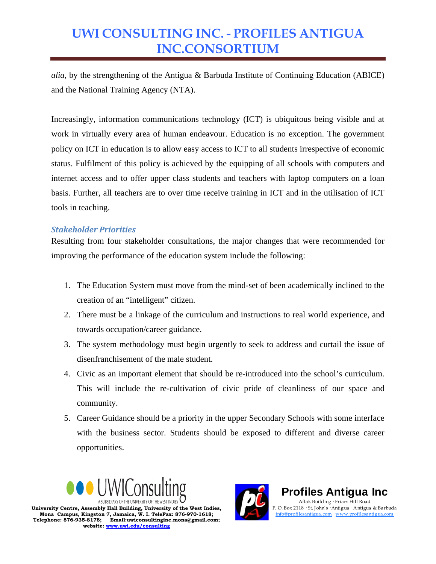*alia*, by the strengthening of the Antigua & Barbuda Institute of Continuing Education (ABICE) and the National Training Agency (NTA).

Increasingly, information communications technology (ICT) is ubiquitous being visible and at work in virtually every area of human endeavour. Education is no exception. The government policy on ICT in education is to allow easy access to ICT to all students irrespective of economic status. Fulfilment of this policy is achieved by the equipping of all schools with computers and internet access and to offer upper class students and teachers with laptop computers on a loan basis. Further, all teachers are to over time receive training in ICT and in the utilisation of ICT tools in teaching.

#### *Stakeholder Priorities*

Resulting from four stakeholder consultations, the major changes that were recommended for improving the performance of the education system include the following:

- 1. The Education System must move from the mind-set of been academically inclined to the creation of an "intelligent" citizen.
- 2. There must be a linkage of the curriculum and instructions to real world experience, and towards occupation/career guidance.
- 3. The system methodology must begin urgently to seek to address and curtail the issue of disenfranchisement of the male student.
- 4. Civic as an important element that should be re-introduced into the school's curriculum. This will include the re-cultivation of civic pride of cleanliness of our space and community.
- 5. Career Guidance should be a priority in the upper Secondary Schools with some interface with the business sector. Students should be exposed to different and diverse career opportunities.





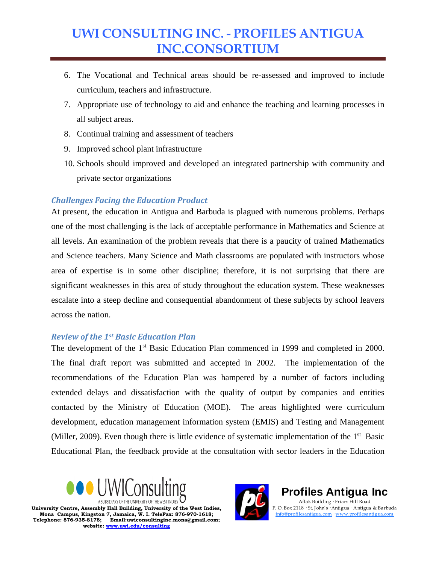- 6. The Vocational and Technical areas should be re-assessed and improved to include curriculum, teachers and infrastructure.
- 7. Appropriate use of technology to aid and enhance the teaching and learning processes in all subject areas.
- 8. Continual training and assessment of teachers
- 9. Improved school plant infrastructure
- 10. Schools should improved and developed an integrated partnership with community and private sector organizations

#### *Challenges Facing the Education Product*

At present, the education in Antigua and Barbuda is plagued with numerous problems. Perhaps one of the most challenging is the lack of acceptable performance in Mathematics and Science at all levels. An examination of the problem reveals that there is a paucity of trained Mathematics and Science teachers. Many Science and Math classrooms are populated with instructors whose area of expertise is in some other discipline; therefore, it is not surprising that there are significant weaknesses in this area of study throughout the education system. These weaknesses escalate into a steep decline and consequential abandonment of these subjects by school leavers across the nation.

#### *Review of the 1st Basic Education Plan*

The development of the 1<sup>st</sup> Basic Education Plan commenced in 1999 and completed in 2000. The final draft report was submitted and accepted in 2002. The implementation of the recommendations of the Education Plan was hampered by a number of factors including extended delays and dissatisfaction with the quality of output by companies and entities contacted by the Ministry of Education (MOE). The areas highlighted were curriculum development, education management information system (EMIS) and Testing and Management (Miller, 2009). Even though there is little evidence of systematic implementation of the  $1<sup>st</sup>$  Basic Educational Plan, the feedback provide at the consultation with sector leaders in the Education





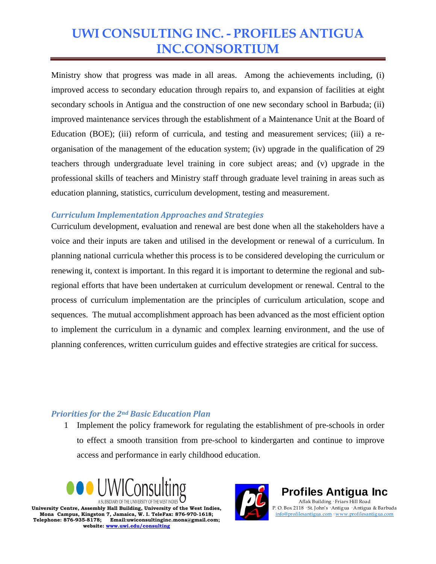Ministry show that progress was made in all areas. Among the achievements including, (i) improved access to secondary education through repairs to, and expansion of facilities at eight secondary schools in Antigua and the construction of one new secondary school in Barbuda; (ii) improved maintenance services through the establishment of a Maintenance Unit at the Board of Education (BOE); (iii) reform of curricula, and testing and measurement services; (iii) a reorganisation of the management of the education system; (iv) upgrade in the qualification of 29 teachers through undergraduate level training in core subject areas; and (v) upgrade in the professional skills of teachers and Ministry staff through graduate level training in areas such as education planning, statistics, curriculum development, testing and measurement.

#### *Curriculum Implementation Approaches and Strategies*

Curriculum development, evaluation and renewal are best done when all the stakeholders have a voice and their inputs are taken and utilised in the development or renewal of a curriculum. In planning national curricula whether this process is to be considered developing the curriculum or renewing it, context is important. In this regard it is important to determine the regional and subregional efforts that have been undertaken at curriculum development or renewal. Central to the process of curriculum implementation are the principles of curriculum articulation, scope and sequences. The mutual accomplishment approach has been advanced as the most efficient option to implement the curriculum in a dynamic and complex learning environment, and the use of planning conferences, written curriculum guides and effective strategies are critical for success.

#### *Priorities for the 2nd Basic Education Plan*

1 Implement the policy framework for regulating the establishment of pre-schools in order to effect a smooth transition from pre-school to kindergarten and continue to improve access and performance in early childhood education.





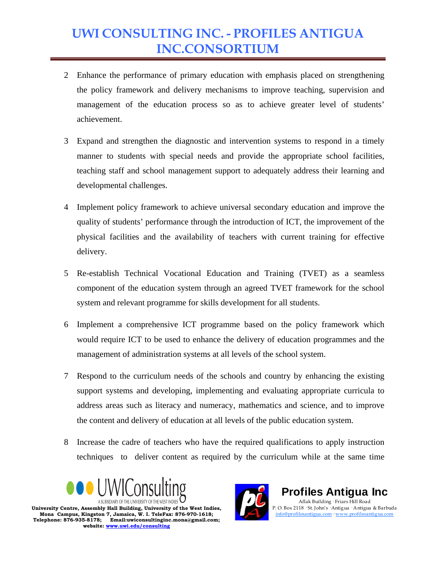- 2 Enhance the performance of primary education with emphasis placed on strengthening the policy framework and delivery mechanisms to improve teaching, supervision and management of the education process so as to achieve greater level of students' achievement.
- 3 Expand and strengthen the diagnostic and intervention systems to respond in a timely manner to students with special needs and provide the appropriate school facilities, teaching staff and school management support to adequately address their learning and developmental challenges.
- 4 Implement policy framework to achieve universal secondary education and improve the quality of students' performance through the introduction of ICT, the improvement of the physical facilities and the availability of teachers with current training for effective delivery.
- 5 Re-establish Technical Vocational Education and Training (TVET) as a seamless component of the education system through an agreed TVET framework for the school system and relevant programme for skills development for all students.
- 6 Implement a comprehensive ICT programme based on the policy framework which would require ICT to be used to enhance the delivery of education programmes and the management of administration systems at all levels of the school system.
- 7 Respond to the curriculum needs of the schools and country by enhancing the existing support systems and developing, implementing and evaluating appropriate curricula to address areas such as literacy and numeracy, mathematics and science, and to improve the content and delivery of education at all levels of the public education system.
- 8 Increase the cadre of teachers who have the required qualifications to apply instruction techniques to deliver content as required by the curriculum while at the same time





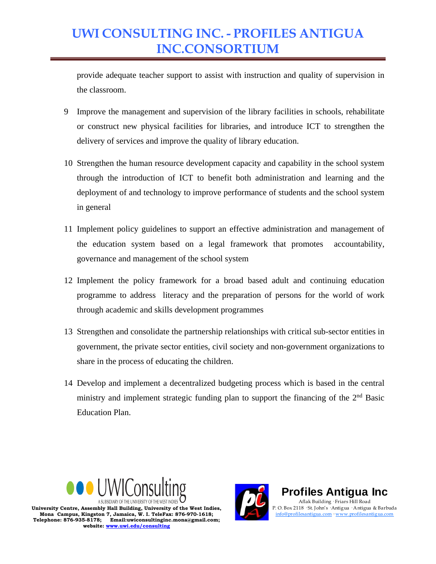provide adequate teacher support to assist with instruction and quality of supervision in the classroom.

- 9 Improve the management and supervision of the library facilities in schools, rehabilitate or construct new physical facilities for libraries, and introduce ICT to strengthen the delivery of services and improve the quality of library education.
- 10 Strengthen the human resource development capacity and capability in the school system through the introduction of ICT to benefit both administration and learning and the deployment of and technology to improve performance of students and the school system in general
- 11 Implement policy guidelines to support an effective administration and management of the education system based on a legal framework that promotes accountability, governance and management of the school system
- 12 Implement the policy framework for a broad based adult and continuing education programme to address literacy and the preparation of persons for the world of work through academic and skills development programmes
- 13 Strengthen and consolidate the partnership relationships with critical sub-sector entities in government, the private sector entities, civil society and non-government organizations to share in the process of educating the children.
- 14 Develop and implement a decentralized budgeting process which is based in the central ministry and implement strategic funding plan to support the financing of the  $2<sup>nd</sup>$  Basic Education Plan.





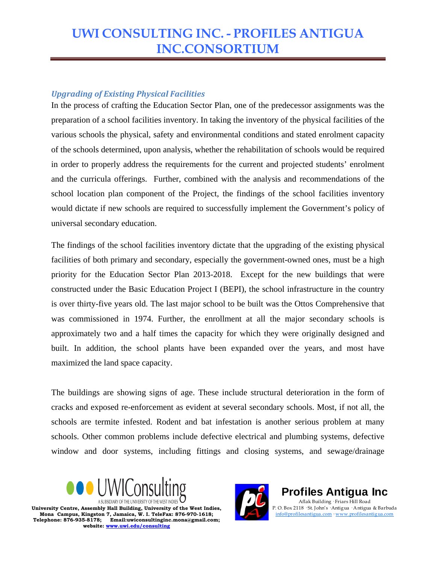#### *Upgrading of Existing Physical Facilities*

In the process of crafting the Education Sector Plan, one of the predecessor assignments was the preparation of a school facilities inventory. In taking the inventory of the physical facilities of the various schools the physical, safety and environmental conditions and stated enrolment capacity of the schools determined, upon analysis, whether the rehabilitation of schools would be required in order to properly address the requirements for the current and projected students' enrolment and the curricula offerings. Further, combined with the analysis and recommendations of the school location plan component of the Project, the findings of the school facilities inventory would dictate if new schools are required to successfully implement the Government's policy of universal secondary education.

The findings of the school facilities inventory dictate that the upgrading of the existing physical facilities of both primary and secondary, especially the government-owned ones, must be a high priority for the Education Sector Plan 2013-2018. Except for the new buildings that were constructed under the Basic Education Project I (BEPI), the school infrastructure in the country is over thirty-five years old. The last major school to be built was the Ottos Comprehensive that was commissioned in 1974. Further, the enrollment at all the major secondary schools is approximately two and a half times the capacity for which they were originally designed and built. In addition, the school plants have been expanded over the years, and most have maximized the land space capacity.

The buildings are showing signs of age. These include structural deterioration in the form of cracks and exposed re-enforcement as evident at several secondary schools. Most, if not all, the schools are termite infested. Rodent and bat infestation is another serious problem at many schools. Other common problems include defective electrical and plumbing systems, defective window and door systems, including fittings and closing systems, and sewage/drainage





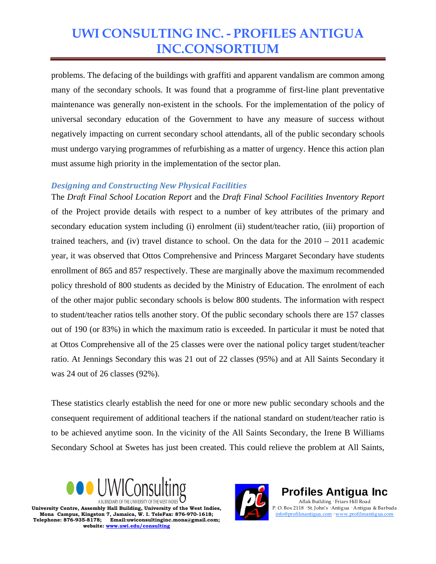problems. The defacing of the buildings with graffiti and apparent vandalism are common among many of the secondary schools. It was found that a programme of first-line plant preventative maintenance was generally non-existent in the schools. For the implementation of the policy of universal secondary education of the Government to have any measure of success without negatively impacting on current secondary school attendants, all of the public secondary schools must undergo varying programmes of refurbishing as a matter of urgency. Hence this action plan must assume high priority in the implementation of the sector plan.

#### *Designing and Constructing New Physical Facilities*

The *Draft Final School Location Report* and the *Draft Final School Facilities Inventory Report* of the Project provide details with respect to a number of key attributes of the primary and secondary education system including (i) enrolment (ii) student/teacher ratio, (iii) proportion of trained teachers, and (iv) travel distance to school. On the data for the  $2010 - 2011$  academic year, it was observed that Ottos Comprehensive and Princess Margaret Secondary have students enrollment of 865 and 857 respectively. These are marginally above the maximum recommended policy threshold of 800 students as decided by the Ministry of Education. The enrolment of each of the other major public secondary schools is below 800 students. The information with respect to student/teacher ratios tells another story. Of the public secondary schools there are 157 classes out of 190 (or 83%) in which the maximum ratio is exceeded. In particular it must be noted that at Ottos Comprehensive all of the 25 classes were over the national policy target student/teacher ratio. At Jennings Secondary this was 21 out of 22 classes (95%) and at All Saints Secondary it was 24 out of 26 classes (92%).

These statistics clearly establish the need for one or more new public secondary schools and the consequent requirement of additional teachers if the national standard on student/teacher ratio is to be achieved anytime soon. In the vicinity of the All Saints Secondary, the Irene B Williams Secondary School at Swetes has just been created. This could relieve the problem at All Saints,





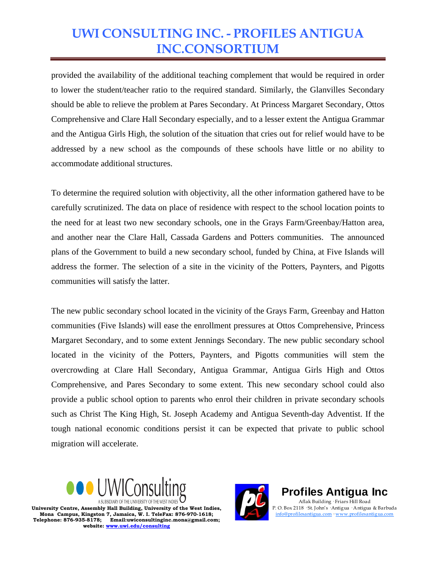provided the availability of the additional teaching complement that would be required in order to lower the student/teacher ratio to the required standard. Similarly, the Glanvilles Secondary should be able to relieve the problem at Pares Secondary. At Princess Margaret Secondary, Ottos Comprehensive and Clare Hall Secondary especially, and to a lesser extent the Antigua Grammar and the Antigua Girls High, the solution of the situation that cries out for relief would have to be addressed by a new school as the compounds of these schools have little or no ability to accommodate additional structures.

To determine the required solution with objectivity, all the other information gathered have to be carefully scrutinized. The data on place of residence with respect to the school location points to the need for at least two new secondary schools, one in the Grays Farm/Greenbay/Hatton area, and another near the Clare Hall, Cassada Gardens and Potters communities. The announced plans of the Government to build a new secondary school, funded by China, at Five Islands will address the former. The selection of a site in the vicinity of the Potters, Paynters, and Pigotts communities will satisfy the latter.

The new public secondary school located in the vicinity of the Grays Farm, Greenbay and Hatton communities (Five Islands) will ease the enrollment pressures at Ottos Comprehensive, Princess Margaret Secondary, and to some extent Jennings Secondary. The new public secondary school located in the vicinity of the Potters, Paynters, and Pigotts communities will stem the overcrowding at Clare Hall Secondary, Antigua Grammar, Antigua Girls High and Ottos Comprehensive, and Pares Secondary to some extent. This new secondary school could also provide a public school option to parents who enrol their children in private secondary schools such as Christ The King High, St. Joseph Academy and Antigua Seventh-day Adventist. If the tough national economic conditions persist it can be expected that private to public school migration will accelerate.





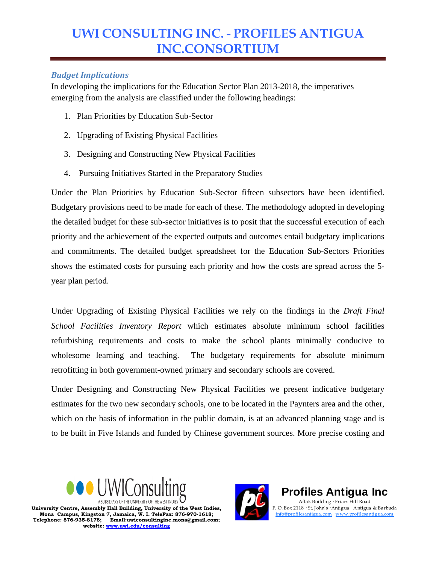#### *Budget Implications*

In developing the implications for the Education Sector Plan 2013-2018, the imperatives emerging from the analysis are classified under the following headings:

- 1. Plan Priorities by Education Sub-Sector
- 2. Upgrading of Existing Physical Facilities
- 3. Designing and Constructing New Physical Facilities
- 4. Pursuing Initiatives Started in the Preparatory Studies

Under the Plan Priorities by Education Sub-Sector fifteen subsectors have been identified. Budgetary provisions need to be made for each of these. The methodology adopted in developing the detailed budget for these sub-sector initiatives is to posit that the successful execution of each priority and the achievement of the expected outputs and outcomes entail budgetary implications and commitments. The detailed budget spreadsheet for the Education Sub-Sectors Priorities shows the estimated costs for pursuing each priority and how the costs are spread across the 5 year plan period.

Under Upgrading of Existing Physical Facilities we rely on the findings in the *Draft Final School Facilities Inventory Report* which estimates absolute minimum school facilities refurbishing requirements and costs to make the school plants minimally conducive to wholesome learning and teaching. The budgetary requirements for absolute minimum retrofitting in both government-owned primary and secondary schools are covered.

Under Designing and Constructing New Physical Facilities we present indicative budgetary estimates for the two new secondary schools, one to be located in the Paynters area and the other, which on the basis of information in the public domain, is at an advanced planning stage and is to be built in Five Islands and funded by Chinese government sources. More precise costing and